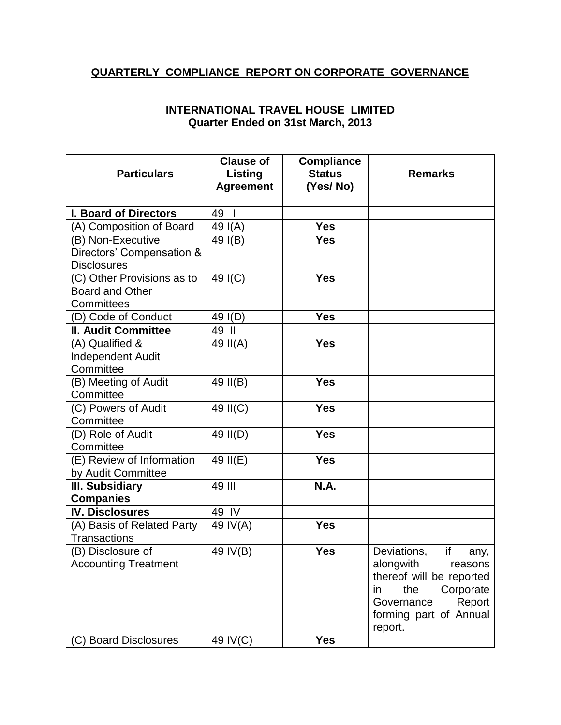## **QUARTERLY COMPLIANCE REPORT ON CORPORATE GOVERNANCE**

## **INTERNATIONAL TRAVEL HOUSE LIMITED Quarter Ended on 31st March, 2013**

|                              | <b>Clause of</b>     | <b>Compliance</b> |                           |
|------------------------------|----------------------|-------------------|---------------------------|
| <b>Particulars</b>           | Listing              | <b>Status</b>     | <b>Remarks</b>            |
|                              | <b>Agreement</b>     | (Yes/No)          |                           |
|                              |                      |                   |                           |
| <b>I. Board of Directors</b> | 49<br>$\blacksquare$ |                   |                           |
| (A) Composition of Board     | 49 I(A)              | <b>Yes</b>        |                           |
| (B) Non-Executive            | 49 $I(B)$            | <b>Yes</b>        |                           |
| Directors' Compensation &    |                      |                   |                           |
| <b>Disclosures</b>           |                      |                   |                           |
| (C) Other Provisions as to   | 49 I(C)              | <b>Yes</b>        |                           |
| <b>Board and Other</b>       |                      |                   |                           |
| Committees                   |                      |                   |                           |
| (D) Code of Conduct          | 49 I(D)              | <b>Yes</b>        |                           |
| <b>II. Audit Committee</b>   | 49 II                |                   |                           |
| (A) Qualified &              | 49 II(A)             | <b>Yes</b>        |                           |
| <b>Independent Audit</b>     |                      |                   |                           |
| Committee                    |                      |                   |                           |
| (B) Meeting of Audit         | 49 II(B)             | <b>Yes</b>        |                           |
| Committee                    |                      |                   |                           |
| (C) Powers of Audit          | 49 II(C)             | <b>Yes</b>        |                           |
| Committee                    |                      |                   |                           |
| (D) Role of Audit            | 49 II(D)             | <b>Yes</b>        |                           |
| Committee                    |                      |                   |                           |
| (E) Review of Information    | 49 II(E)             | <b>Yes</b>        |                           |
| by Audit Committee           |                      |                   |                           |
| III. Subsidiary              | 49 III               | <b>N.A.</b>       |                           |
| <b>Companies</b>             |                      |                   |                           |
| <b>IV. Disclosures</b>       | 49 IV                |                   |                           |
| (A) Basis of Related Party   | 49 IV(A)             | <b>Yes</b>        |                           |
| <b>Transactions</b>          |                      |                   |                           |
| (B) Disclosure of            | 49 IV(B)             | <b>Yes</b>        | Deviations,<br>if<br>any, |
| <b>Accounting Treatment</b>  |                      |                   | alongwith<br>reasons      |
|                              |                      |                   | thereof will be reported  |
|                              |                      |                   | the<br>Corporate<br>in.   |
|                              |                      |                   | Governance<br>Report      |
|                              |                      |                   | forming part of Annual    |
|                              |                      |                   | report.                   |
| (C) Board Disclosures        | 49 IV(C)             | <b>Yes</b>        |                           |